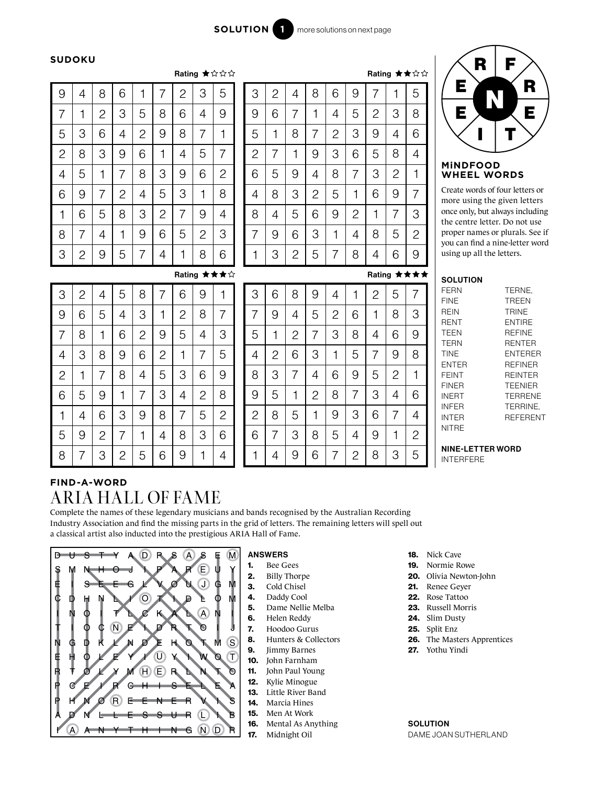### **SUDOKU**

|              |                |                |                |              | Rating ★☆☆☆    |                |                |                |  |  |
|--------------|----------------|----------------|----------------|--------------|----------------|----------------|----------------|----------------|--|--|
| 9            | 4              | 8              | 6              | 1            | 7              | $\overline{c}$ | 3              | 5              |  |  |
| 7            | 1              | $\overline{c}$ | 3              | 5            | 8              | 6              | 4              | 9              |  |  |
| 5            | 3              | 6              | 4              | $\mathbf{2}$ | 9              | 8              | 7              | 1              |  |  |
| $\mathbf{2}$ | 8              | 3              | 9              | 6            | 1              | 4              | 5              | 7              |  |  |
| 4            | 5              | 1              | 7              | 8            | 3              | 9              | 6              | $\overline{2}$ |  |  |
| 6            | 9              | 7              | $\overline{c}$ | 4            | 5              | 3              | 1              | 8              |  |  |
| 1            | 6              | 5              | 8              | 3            | $\overline{c}$ | 7              | 9              | 4              |  |  |
| 8            | 7              | 4              | 1              | 9            | 6              | 5              | $\overline{c}$ | 3              |  |  |
| 3            | $\overline{2}$ | 9              | 5              | 7            | 4              | 1              | 8              | 6              |  |  |

Rating ★★★☆

|                |   |              |                |                |                |              |   | Rating ★★☆☆  |
|----------------|---|--------------|----------------|----------------|----------------|--------------|---|--------------|
| 3              | 2 | 4            | 8              | 6              | 9              | 7            | 1 | 5            |
| 9              | 6 | 7            | 1              | 4              | 5              | $\mathbf{2}$ | 3 | 8            |
| 5              | 1 | 8            | 7              | $\overline{c}$ | 3              | 9            | 4 | 6            |
| $\overline{c}$ | 7 | 1            | 9              | 3              | 6              | 5            | 8 | 4            |
| 6              | 5 | 9            | 4              | 8              | 7              | 3            | 2 | 1            |
| 4              | 8 | 3            | $\overline{c}$ | 5              | 1              | 6            | 9 | 7            |
| 8              | 4 | 5            | 6              | 9              | $\overline{c}$ | 1            | 7 | 3            |
| 7              | 9 | 6            | 3              | 1              | 4              | 8            | 5 | $\mathbf{2}$ |
| 1              | 3 | $\mathbf{2}$ | 5              | 7              | 8              | 4            | 6 | 9            |

## Rating ★★★★

| R<br>E      | F<br>R |
|-------------|--------|
| Е           | E      |
| MINDEO<br>n |        |

#### **MiNDFOOD WHEEL WORDS**

Create words of four letters or more using the given letters once only, but always including the centre letter. Do not use proper names or plurals. See if you can find a nine-letter word using up all the letters.

#### **SOLUTION**

| <b>FERN</b>  | TERNE.          |
|--------------|-----------------|
| FINF         | <b>TRFFN</b>    |
| REIN         | <b>TRINE</b>    |
| RENT         | <b>ENTIRE</b>   |
| TEEN         | <b>REFINE</b>   |
| <b>TERN</b>  | <b>RENTER</b>   |
| <b>TINE</b>  | <b>ENTERER</b>  |
| <b>FNTFR</b> | <b>RFFINFR</b>  |
| FFINT        | <b>REINTER</b>  |
| <b>FINFR</b> | <b>TFFNIFR</b>  |
| INERT        | <b>TERRENE</b>  |
| INFFR        | TERRINE.        |
| INTER        | <b>REFERENT</b> |
| <b>NITRE</b> |                 |

#### NINE-LETTER WORD INTERFERE

# **FIND-A-WORD** ARIA HALL OF FAME

5

6

9

1

4

1

4

9

6

7

 $\overline{2}$ 

8

3

5 2

4

6

1

8

9

3

7

1

7

4

2

9

6

8

5

9

6

3

5

7

4

1

2

4

3

7

9

5

8

6

1

5

9

8

6

1

3

2

4

8

1

 $\overline{2}$ 

4

3

7

5

9

3

5

1

7

6

2

4

8

7

8

5

3

2

1

9

6

6

2

9

8

4

5

7

3

6

2

8

9

5

3

7

1

3

5

 $\overline{2}$ 

6

7

4

8

9

8

7

4

3

1

5

2

6

4

8

3

5

2

9

1

7

1

9

7

4

6

2

3

8

8

7

3

2

7

3

1

8

9

6

4

5

2

6

9

7

8

1

5

4

9

4

5

1

3

8

6

2

5

1

6

2

4

7

9

3

Complete the names of these legendary musicians and bands recognised by the Australian Recording Industry Association and find the missing parts in the grid of letters. The remaining letters will spell out a classical artist also inducted into the prestigious ARIA Hall of Fame.



## ANSWERS

- 1. Bee Gees
- 2. Billy Thorpe 3. Cold Chisel
- 4. Daddy Cool
- 5. Dame Nellie Melba
- 6. Helen Reddy
- 7. Hoodoo Gurus
- 8. Hunters & Collectors
- 9. Jimmy Barnes
- 10. John Farnham
- 11. John Paul Young
- 12. Kylie Minogue
- 13. Little River Band
- 14. Marcia Hines
- 15. Men At Work
- 16. Mental As Anything
- 17. Midnight Oil
- 18. Nick Cave
- 19. Normie Rowe
- 20. Olivia Newton-John
- 21. Renee Geyer
- 22. Rose Tattoo
- 23. Russell Morris
- 24. Slim Dusty
- 25. Split Enz
- 26. The Masters Apprentices
- 27. Yothu Yindi

**SOLUTION** DAME JOAN SUTHERLAND